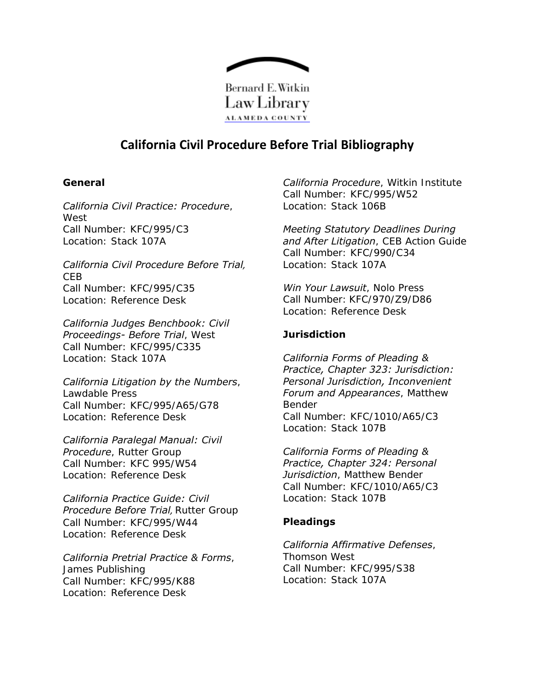

# **California Civil Procedure Before Trial Bibliography**

## **General**

### *California Civil Practice: Procedure*,

**West** Call Number: KFC/995/C3 Location: Stack 107A

### *California Civil Procedure Before Trial,* CEB Call Number: KFC/995/C35 Location: Reference Desk

*California Judges Benchbook: Civil Proceedings- Before Trial*, West Call Number: KFC/995/C335 Location: Stack 107A

### *California Litigation by the Numbers*,

Lawdable Press Call Number: KFC/995/A65/G78 Location: Reference Desk

# *California Paralegal Manual: Civil*

*Procedure*, Rutter Group Call Number: KFC 995/W54 Location: Reference Desk

### *California Practice Guide: Civil Procedure Before Trial*, Rutter Group Call Number: KFC/995/W44 Location: Reference Desk

## *California Pretrial Practice & Forms*,

James Publishing Call Number: KFC/995/K88 Location: Reference Desk

*California Procedure*, Witkin Institute Call Number: KFC/995/W52 Location: Stack 106B

*Meeting Statutory Deadlines During and After Litigation*, CEB Action Guide Call Number: KFC/990/C34 Location: Stack 107A

*Win Your Lawsuit*, Nolo Press Call Number: KFC/970/Z9/D86 Location: Reference Desk

# **Jurisdiction**

*California Forms of Pleading & Practice, Chapter 323: Jurisdiction: Personal Jurisdiction, Inconvenient Forum and Appearances*, Matthew Bender Call Number: KFC/1010/A65/C3 Location: Stack 107B

*California Forms of Pleading & Practice, Chapter 324: Personal Jurisdiction*, Matthew Bender Call Number: KFC/1010/A65/C3 Location: Stack 107B

# **Pleadings**

#### *California Affirmative Defenses*, Thomson West

Call Number: KFC/995/S38 Location: Stack 107A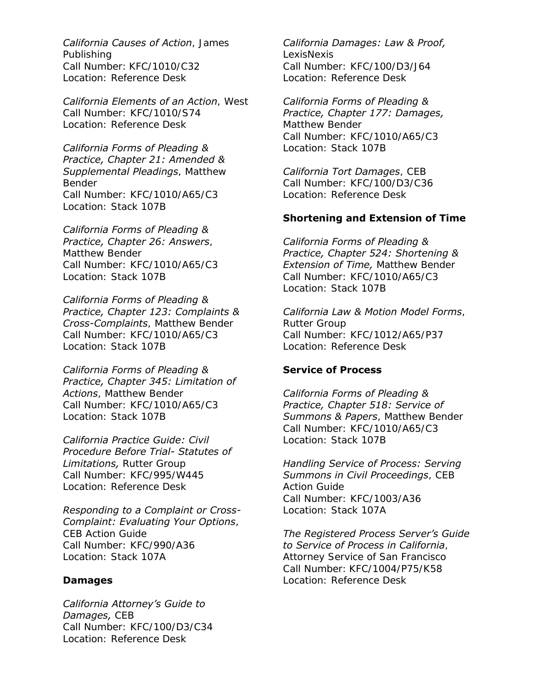### *California Causes of Action*, James

Publishing Call Number: KFC/1010/C32 Location: Reference Desk

### *California Elements of an Action*, West

Call Number: KFC/1010/S74 Location: Reference Desk

### *California Forms of Pleading & Practice, Chapter 21: Amended & Supplemental Pleadings*, Matthew

Bender Call Number: KFC/1010/A65/C3 Location: Stack 107B

### *California Forms of Pleading &*

*Practice, Chapter 26: Answers*, Matthew Bender Call Number: KFC/1010/A65/C3 Location: Stack 107B

### *California Forms of Pleading & Practice, Chapter 123: Complaints & Cross-Complaints*, Matthew Bender Call Number: KFC/1010/A65/C3 Location: Stack 107B

### *California Forms of Pleading & Practice, Chapter 345: Limitation of Actions*, Matthew Bender Call Number: KFC/1010/A65/C3 Location: Stack 107B

*California Practice Guide: Civil Procedure Before Trial- Statutes of Limitations,* Rutter Group Call Number: KFC/995/W445 Location: Reference Desk

# *Responding to a Complaint or Cross-*

*Complaint: Evaluating Your Options*, CEB Action Guide Call Number: KFC/990/A36 Location: Stack 107A

## **Damages**

### *California Attorney's Guide to Damages,* CEB Call Number: KFC/100/D3/C34

Location: Reference Desk

# *California Damages: Law & Proof,*

LexisNexis Call Number: KFC/100/D3/J64 Location: Reference Desk

# *California Forms of Pleading &*

*Practice, Chapter 177: Damages,* Matthew Bender Call Number: KFC/1010/A65/C3 Location: Stack 107B

*California Tort Damages*, CEB Call Number: KFC/100/D3/C36 Location: Reference Desk

# **Shortening and Extension of Time**

*California Forms of Pleading & Practice, Chapter 524: Shortening & Extension of Time,* Matthew Bender Call Number: KFC/1010/A65/C3 Location: Stack 107B

### *California Law & Motion Model Forms*, Rutter Group

Call Number: KFC/1012/A65/P37 Location: Reference Desk

## **Service of Process**

*California Forms of Pleading & Practice, Chapter 518: Service of Summons & Papers*, Matthew Bender Call Number: KFC/1010/A65/C3 Location: Stack 107B

*Handling Service of Process: Serving Summons in Civil Proceedings*, CEB Action Guide Call Number: KFC/1003/A36 Location: Stack 107A

*The Registered Process Server's Guide to Service of Process in California*, Attorney Service of San Francisco Call Number: KFC/1004/P75/K58 Location: Reference Desk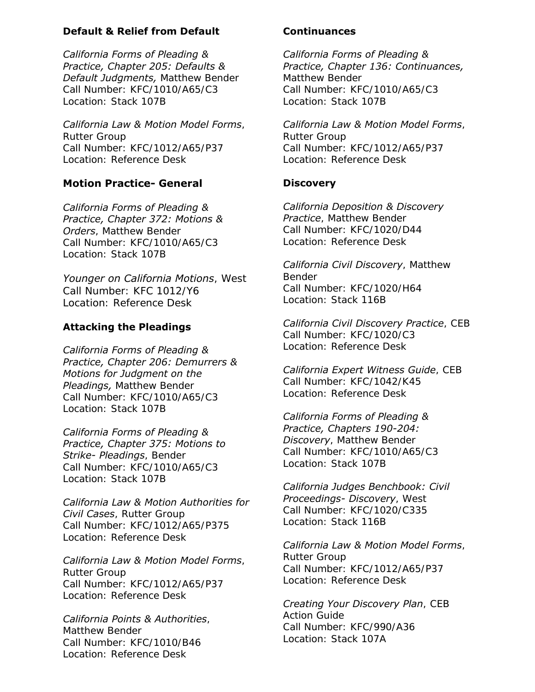## **Default & Relief from Default**

*California Forms of Pleading & Practice, Chapter 205: Defaults & Default Judgments,* Matthew Bender Call Number: KFC/1010/A65/C3 Location: Stack 107B

### *California Law & Motion Model Forms*,

Rutter Group Call Number: KFC/1012/A65/P37 Location: Reference Desk

# **Motion Practice- General**

# *California Forms of Pleading &*

*Practice, Chapter 372: Motions & Orders*, Matthew Bender Call Number: KFC/1010/A65/C3 Location: Stack 107B

### *Younger on California Motions*, West Call Number: KFC 1012/Y6 Location: Reference Desk

# **Attacking the Pleadings**

*California Forms of Pleading & Practice, Chapter 206: Demurrers & Motions for Judgment on the Pleadings,* Matthew Bender Call Number: KFC/1010/A65/C3 Location: Stack 107B

*California Forms of Pleading & Practice, Chapter 375: Motions to Strike- Pleadings*, Bender Call Number: KFC/1010/A65/C3 Location: Stack 107B

### *California Law & Motion Authorities for Civil Cases*, Rutter Group

Call Number: KFC/1012/A65/P375 Location: Reference Desk

## *California Law & Motion Model Forms*,

Rutter Group Call Number: KFC/1012/A65/P37 Location: Reference Desk

## *California Points & Authorities*,

Matthew Bender Call Number: KFC/1010/B46 Location: Reference Desk

## **Continuances**

*California Forms of Pleading & Practice, Chapter 136: Continuances,* Matthew Bender Call Number: KFC/1010/A65/C3 Location: Stack 107B

*California Law & Motion Model Forms*, Rutter Group Call Number: KFC/1012/A65/P37 Location: Reference Desk

# **Discovery**

*California Deposition & Discovery Practice*, Matthew Bender Call Number: KFC/1020/D44 Location: Reference Desk

*California Civil Discovery*, Matthew Bender Call Number: KFC/1020/H64 Location: Stack 116B

*California Civil Discovery Practice*, CEB Call Number: KFC/1020/C3 Location: Reference Desk

### *California Expert Witness Guide*, CEB Call Number: KFC/1042/K45

Location: Reference Desk

*California Forms of Pleading & Practice, Chapters 190-204: Discovery*, Matthew Bender Call Number: KFC/1010/A65/C3 Location: Stack 107B

### *California Judges Benchbook: Civil Proceedings- Discovery*, West Call Number: KFC/1020/C335

Location: Stack 116B

*California Law & Motion Model Forms*, Rutter Group Call Number: KFC/1012/A65/P37 Location: Reference Desk

*Creating Your Discovery Plan*, CEB Action Guide Call Number: KFC/990/A36 Location: Stack 107A